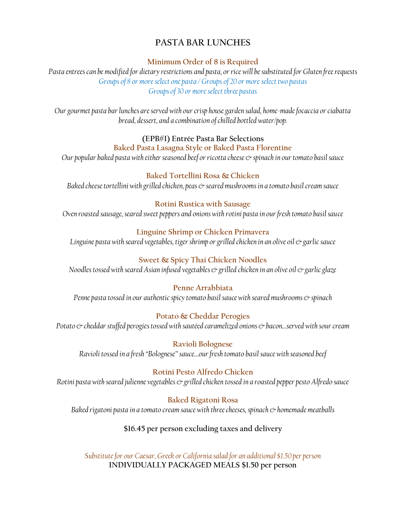# **PASTA BAR LUNCHES**

#### **Minimum Order of 8 is Required**

*Pasta entrees can be modified for dietary restrictions and pasta, or rice will be substituted for Gluten free requests Groups of 8 or more select one pasta / Groups of 20 or more select two pastas Groups of 30 or more select three pastas*

*Our gourmet pasta bar lunches are served with our crisp house garden salad, home-made focaccia or ciabatta bread, dessert, and a combination of chilled bottled water/pop.*

### **(EPB#1) Entrée Pasta Bar Selections**

### **Baked Pasta Lasagna Style or Baked Pasta Florentine**

*Our popular baked pasta with either seasoned beef or ricotta cheese*  $\infty$  *spinach in our tomato basil sauce* 

### **Baked Tortellini Rosa & Chicken**

*Baked cheese tortellini with grilled chicken, peas*  $\circ$  *seared mushrooms in a tomato basil cream sauce* 

### **Rotini Rustica with Sausage**

*Oven roasted sausage, seared sweet peppers and onions with rotini pasta in our fresh tomato basil sauce*

# **Linguine Shrimp or Chicken Primavera**

*Linguine pasta with seared vegetables, tiger shrimp or grilled chicken in an olive oil & garlic sauce*

# **Sweet & Spicy Thai Chicken Noodles**

*Noodles tossed with seared Asian infused vegetables & grilled chicken in an olive oil & garlic glaze* 

# **Penne Arrabbiata**

*Penne pasta tossed in our authentic spicy tomato basil sauce with seared mushrooms*  $\circ$  *spinach* 

# **Potato & Cheddar Perogies**

*Potato & cheddar stuffed perogies tossed with sautéed caramelized onions & bacon…served with sour cream*

**Ravioli Bolognese** *Ravioli tossed in a fresh "Bolognese" sauce…our fresh tomato basil sauce with seasoned beef*

### **Rotini Pesto Alfredo Chicken**

*Rotini pasta with seared julienne vegetables & grilled chicken tossed in a roasted pepper pesto Alfredo sauce*

# **Baked Rigatoni Rosa**

*Baked rigatoni pasta in a tomato cream sauce with three cheeses, spinach*  $\circ$  *homemade meatballs* 

# **\$16.45 per person excluding taxes and delivery**

*Substitute for our Caesar, Greek or California salad for an additional \$1.50 per person* **INDIVIDUALLY PACKAGED MEALS \$1.50 per person**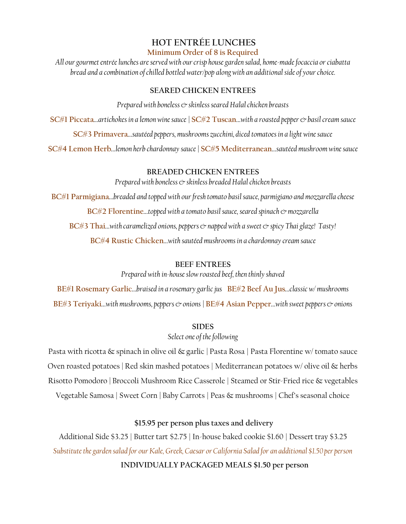#### **HOT ENTRÉE LUNCHES Minimum Order of 8 is Required**

*All our gourmet entrée lunches are served with our crisp housegarden salad, home-made focaccia or ciabatta bread and a combination of chilled bottled water/pop along with an additional side of your choice.*

#### **SEARED CHICKEN ENTREES**

*Prepared with boneless & skinless seared Halal chicken breasts*

**SC#1 Piccata***…artichokes in a lemon wine sauce |* **SC#2 Tuscan***…with a roasted pepper & basilcream sauce*

**SC#3 Primavera***…sautéed peppers, mushrooms zucchini, diced tomatoes in a light wine sauce*

**SC#4 Lemon Herb***…lemon herb chardonnay sauce|* **SC#5 Mediterranean***…sautéed mushroom wine sauce*

#### **BREADED CHICKEN ENTREES**

*Prepared with boneless & skinless breaded Halal chicken breasts*

**BC#1 Parmigiana***…breaded and topped with our fresh tomato basil sauce, parmigiano and mozzarella cheese* **BC#2 Florentine***…topped with a tomato basil sauce, seared spinach & mozzarella* **BC#3 Thai**…*with caramelized onions, peppers & napped with a sweet & spicy Thai glaze! Tasty!* **BC#4 Rustic Chicken***…with sautéed mushrooms in a chardonnay cream sauce*

#### **BEEF ENTREES**

*Prepared with in-house slow roasted beef, then thinly shaved*

**BE#1 Rosemary Garlic***…braised in a rosemary garlic jus* **BE#2 Beef Au Jus***…classic w/ mushrooms* **BE#3 Teriyaki***…with mushrooms, peppers & onions |* **BE#4 Asian Pepper***…with sweet peppers & onions*

#### **SIDES**

*Select one of the following*

Pasta with ricotta & spinach in olive oil & garlic *|* Pasta Rosa | Pasta Florentine w/ tomato sauce Oven roasted potatoes*|* Red skin mashed potatoes | Mediterranean potatoes w/ olive oil & herbs Risotto Pomodoro *|* Broccoli Mushroom Rice Casserole | Steamed or Stir-Fried rice & vegetables Vegetable Samosa | Sweet Corn *|* Baby Carrots | Peas & mushrooms | Chef's seasonal choice

### **\$15.95 per person plus taxes and delivery**

Additional Side \$3.25 | Butter tart \$2.75 | In-house baked cookie \$1.60 | Dessert tray \$3.25 *Substitute thegarden salad for our Kale, Greek, Caesar or California Salad for an additional \$1.50 per person* **INDIVIDUALLY PACKAGED MEALS \$1.50 per person**